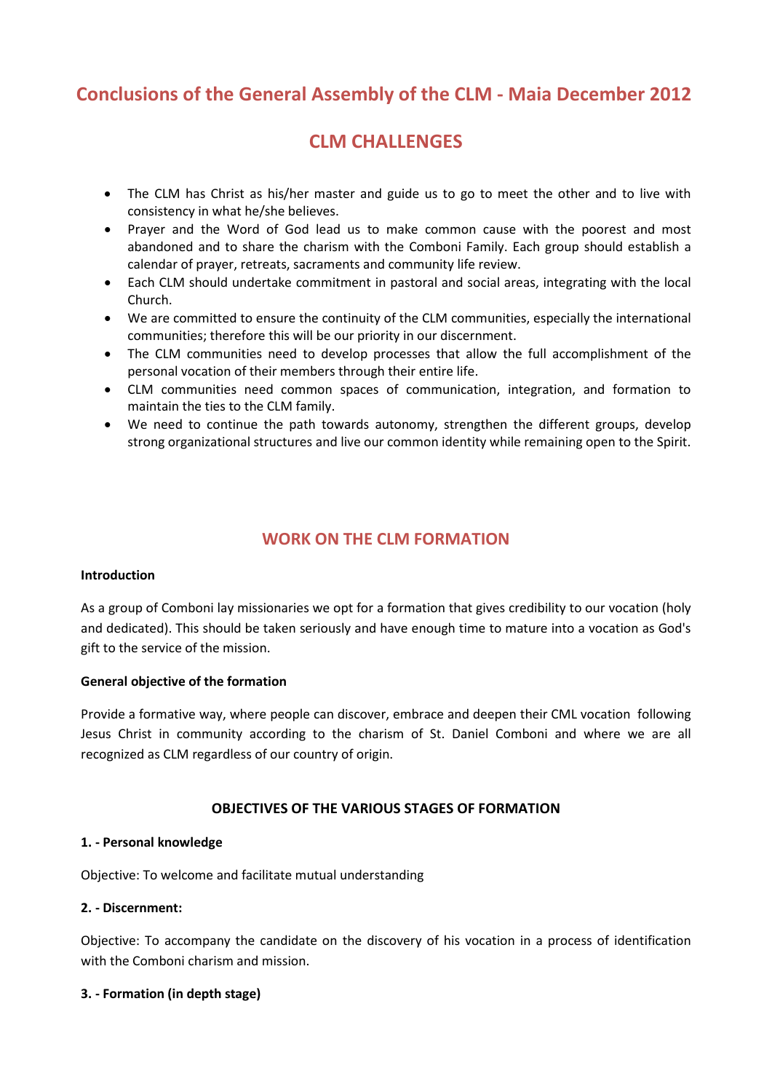# **Conclusions of the General Assembly of the CLM - Maia December 2012**

# **CLM CHALLENGES**

- The CLM has Christ as his/her master and guide us to go to meet the other and to live with consistency in what he/she believes.
- Prayer and the Word of God lead us to make common cause with the poorest and most abandoned and to share the charism with the Comboni Family. Each group should establish a calendar of prayer, retreats, sacraments and community life review.
- Each CLM should undertake commitment in pastoral and social areas, integrating with the local Church.
- We are committed to ensure the continuity of the CLM communities, especially the international communities; therefore this will be our priority in our discernment.
- The CLM communities need to develop processes that allow the full accomplishment of the personal vocation of their members through their entire life.
- CLM communities need common spaces of communication, integration, and formation to maintain the ties to the CLM family.
- We need to continue the path towards autonomy, strengthen the different groups, develop strong organizational structures and live our common identity while remaining open to the Spirit.

# **WORK ON THE CLM FORMATION**

#### **Introduction**

As a group of Comboni lay missionaries we opt for a formation that gives credibility to our vocation (holy and dedicated). This should be taken seriously and have enough time to mature into a vocation as God's gift to the service of the mission.

#### **General objective of the formation**

Provide a formative way, where people can discover, embrace and deepen their CML vocation following Jesus Christ in community according to the charism of St. Daniel Comboni and where we are all recognized as CLM regardless of our country of origin.

#### **OBJECTIVES OF THE VARIOUS STAGES OF FORMATION**

#### **1. - Personal knowledge**

Objective: To welcome and facilitate mutual understanding

#### **2. - Discernment:**

Objective: To accompany the candidate on the discovery of his vocation in a process of identification with the Comboni charism and mission.

#### **3. - Formation (in depth stage)**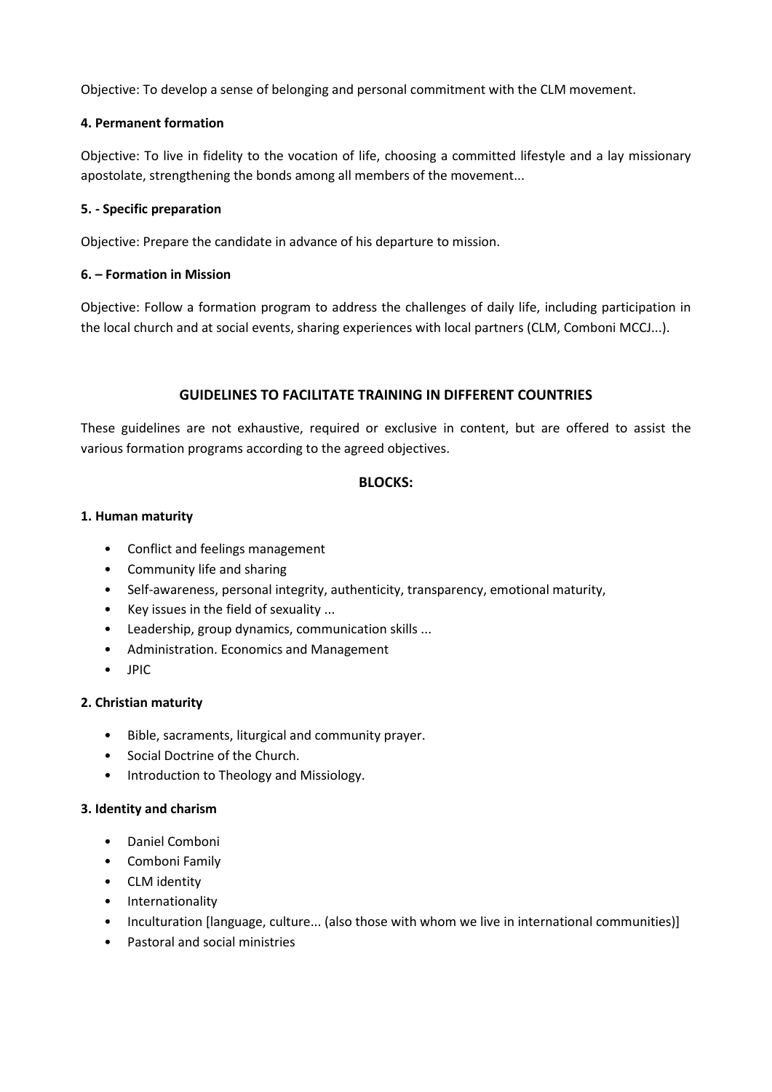Objective: To develop a sense of belonging and personal commitment with the CLM movement.

## **4. Permanent formation**

Objective: To live in fidelity to the vocation of life, choosing a committed lifestyle and a lay missionary apostolate, strengthening the bonds among all members of the movement...

## **5. - Specific preparation**

Objective: Prepare the candidate in advance of his departure to mission.

## **6. – Formation in Mission**

Objective: Follow a formation program to address the challenges of daily life, including participation in the local church and at social events, sharing experiences with local partners (CLM, Comboni MCCJ...).

# **GUIDELINES TO FACILITATE TRAINING IN DIFFERENT COUNTRIES**

These guidelines are not exhaustive, required or exclusive in content, but are offered to assist the various formation programs according to the agreed objectives.

## **BLOCKS:**

## **1. Human maturity**

- Conflict and feelings management
- Community life and sharing
- Self-awareness, personal integrity, authenticity, transparency, emotional maturity,
- Key issues in the field of sexuality ...
- Leadership, group dynamics, communication skills ...
- Administration. Economics and Management
- JPIC

## **2. Christian maturity**

- Bible, sacraments, liturgical and community prayer.
- Social Doctrine of the Church.
- Introduction to Theology and Missiology.

## **3. Identity and charism**

- Daniel Comboni
- Comboni Family
- CLM identity
- Internationality
- Inculturation [language, culture... (also those with whom we live in international communities)]
- Pastoral and social ministries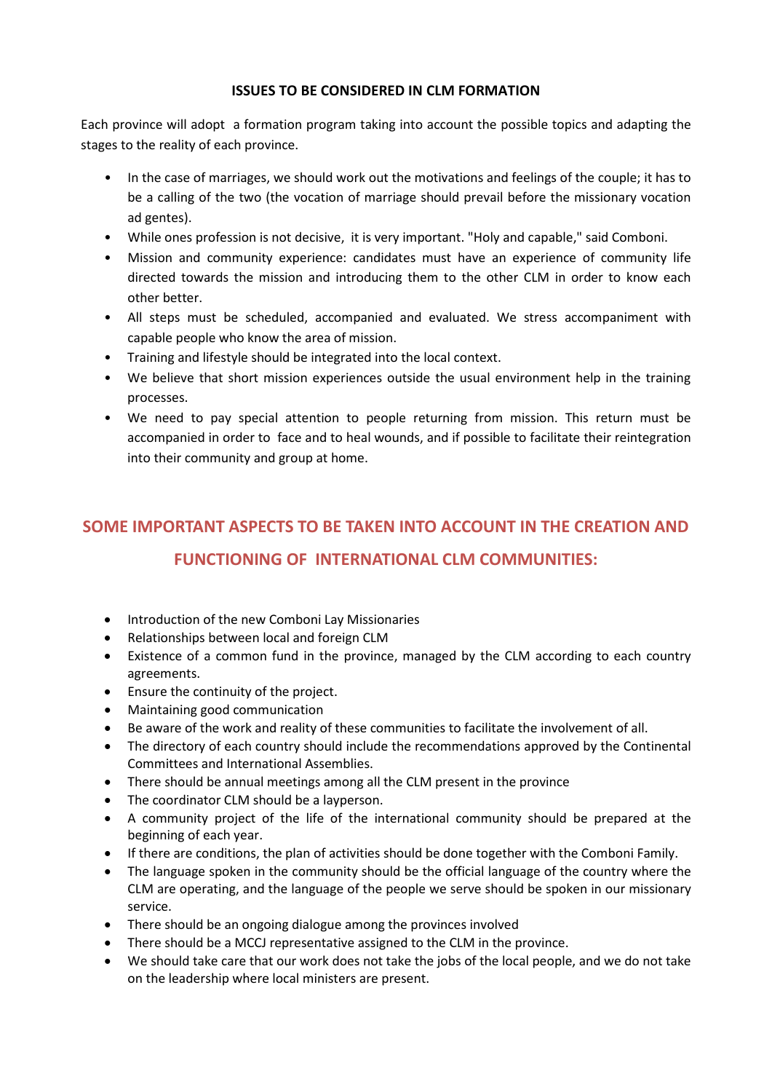## **ISSUES TO BE CONSIDERED IN CLM FORMATION**

Each province will adopt a formation program taking into account the possible topics and adapting the stages to the reality of each province.

- In the case of marriages, we should work out the motivations and feelings of the couple; it has to be a calling of the two (the vocation of marriage should prevail before the missionary vocation ad gentes).
- While ones profession is not decisive, it is very important. "Holy and capable," said Comboni.
- Mission and community experience: candidates must have an experience of community life directed towards the mission and introducing them to the other CLM in order to know each other better.
- All steps must be scheduled, accompanied and evaluated. We stress accompaniment with capable people who know the area of mission.
- Training and lifestyle should be integrated into the local context.
- We believe that short mission experiences outside the usual environment help in the training processes.
- We need to pay special attention to people returning from mission. This return must be accompanied in order to face and to heal wounds, and if possible to facilitate their reintegration into their community and group at home.

# **SOME IMPORTANT ASPECTS TO BE TAKEN INTO ACCOUNT IN THE CREATION AND FUNCTIONING OF INTERNATIONAL CLM COMMUNITIES:**

- Introduction of the new Comboni Lay Missionaries
- Relationships between local and foreign CLM
- Existence of a common fund in the province, managed by the CLM according to each country agreements.
- Ensure the continuity of the project.
- Maintaining good communication
- Be aware of the work and reality of these communities to facilitate the involvement of all.
- The directory of each country should include the recommendations approved by the Continental Committees and International Assemblies.
- There should be annual meetings among all the CLM present in the province
- The coordinator CLM should be a layperson.
- A community project of the life of the international community should be prepared at the beginning of each year.
- If there are conditions, the plan of activities should be done together with the Comboni Family.
- The language spoken in the community should be the official language of the country where the CLM are operating, and the language of the people we serve should be spoken in our missionary service.
- There should be an ongoing dialogue among the provinces involved
- There should be a MCCJ representative assigned to the CLM in the province.
- We should take care that our work does not take the jobs of the local people, and we do not take on the leadership where local ministers are present.